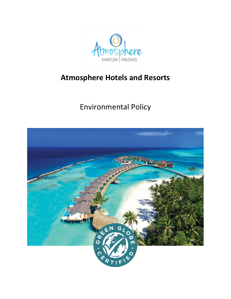

# **Atmosphere Hotels and Resorts**

# Environmental Policy

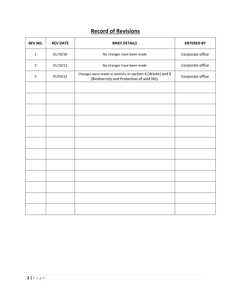# **Record of Revisions**

| <b>REV NO.</b> | <b>REV DATE</b> | <b>BRIEF DETAILS</b>                                                                                    | <b>ENTERED BY</b> |
|----------------|-----------------|---------------------------------------------------------------------------------------------------------|-------------------|
| $\mathbf{1}$   | 01/10/20        | No changes have been made                                                                               | Corporate office  |
| $\overline{2}$ | 01/10/21        | No changes have been made                                                                               | Corporate office  |
| 3              | 01/03/22        | Changes were made in sections in section 4 (Waste) and 8<br>(Biodiversity and Protection of wild life). | Corporate office  |
|                |                 |                                                                                                         |                   |
|                |                 |                                                                                                         |                   |
|                |                 |                                                                                                         |                   |
|                |                 |                                                                                                         |                   |
|                |                 |                                                                                                         |                   |
|                |                 |                                                                                                         |                   |
|                |                 |                                                                                                         |                   |
|                |                 |                                                                                                         |                   |
|                |                 |                                                                                                         |                   |
|                |                 |                                                                                                         |                   |
|                |                 |                                                                                                         |                   |
|                |                 |                                                                                                         |                   |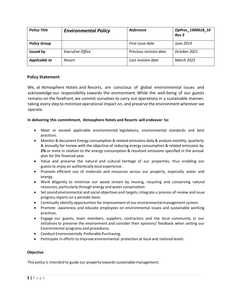| <b>Policy Title</b>  | <b>Environmental Policy</b> | Reference               | OpProc_1900618_10<br>Rev <sub>3</sub> |
|----------------------|-----------------------------|-------------------------|---------------------------------------|
| <b>Policy Group</b>  |                             | First issue date        | June 2019                             |
| <b>Issued by</b>     | <b>Executive Office</b>     | Previous revision date. | October 2021                          |
| <b>Applicable to</b> | Resort                      | Last revision date      | <b>March 2022</b>                     |

# **Policy Statement**

We, at Atmosphere Hotels and Resorts, are conscious of global environmental issues and acknowledge our responsibility towards the environment. While the well-being of our guests remains on the forefront, we commit ourselves to carry out operationsin a sustainable manner, taking every step to minimize operational impact on, and preserve the environment wherever we operate.

#### **In delivering this commitment, Atmosphere Hotels and Resorts will endeavor to:**

- Meet or exceed applicable environmental legislations, environmental standards and best practices.
- Monitor & document Energy consumption & related emissions daily & analyze monthly, quarterly & annually for review with the objective of reducing energy consumption & related emissions by **2%** or more in relation to the energy consumption & resultant emissions specified in the annual plan for the financial year.
- Value and preserve the natural and cultural heritage of our properties, thus enabling our guests to enjoy an authentically local experience.
- Promote efficient use of materials and resources across our property, especially water and energy.
- Work diligently to minimize our waste stream by reusing, recycling and conserving natural resources, particularly through energy and water conservation.
- Set sound environmental and social objectives and targets, integrate a process of review and issue progress reports on a periodic basis.
- Continually identify opportunities for improvement of our environmentalmanagement system.
- Promote awareness and educate employees on environmental issues and sustainable working practices.
- Engage our guests, team members, suppliers, contractors and the local community in our initiatives to preserve the environment and consider their opinions/ feedback when setting our Environmental programs and procedures.
- Conduct Environmentally Preferable Purchasing.
- Participate in efforts to improve environmental protection at local and national levels.

#### **Objective**

This policy is intended to guide our property towards sustainable management.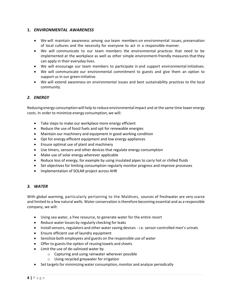# **1.** *ENVIRONMENTAL AWARENESS*

- We will maintain awareness among our team members on environmental issues, preservation of local cultures and the necessity for everyone to act in a responsible manner.
- We will communicate to our team members the environmental practices that need to be implemented at the workplace as well as other simple environment-friendly measures that they can apply in their everyday lives.
- We will encourage our team members to participate in and support environmental initiatives.
- We will communicate our environmental commitment to guests and give them an option to support us in our green initiative.
- We will extend awareness on environmental issues and best sustainability practices to the local community.

# *2. ENERGY*

Reducing energy consumptionwill help to reduce environmental impact and at the same time lower energy costs. In order to minimize energy consumption, we will:

- Take steps to make our workplace more energy efficient
- Reduce the use of fossil fuels and opt for renewable energies
- Maintain our machinery and equipment in good working condition
- Opt for energy efficient equipment and low energy appliances
- Ensure optimal use of plant and machinery
- Use timers, sensors and other devices that regulate energy consumption
- Make use of solar energy wherever applicable
- Reduce loss of energy, for example by using insulated pipes to carry hot or chilled fluids
- Set objectives for limiting consumption regularly monitor progress and improve processes
- Implementation of SOLAR project across AHR

#### *3. WATER*

With global warming, particularly pertaining to the Maldives, sources of freshwater are very scarce and limited to a few natural wells. Water conservation is therefore becoming essential and as a responsible company, we will:

- Using sea water, a free resource, to generate water for the entire resort
- Reduce water losses by regularly checking for leaks
- Install sensors, regulators and other water saving devices i.e. sensor-controlled men's urinals
- Ensure efficient use of laundry equipment
- Sensitize both employees and guests on the responsible use of water
- $\bullet$  Offer to guests the option of reusing towels and sheets
- Limit the use of de-salinized water by
	- o Capturing and using rainwater wherever possible
	- o Using recycled greywater for irrigation
- Set targets for minimizing water consumption, monitor and analyze periodically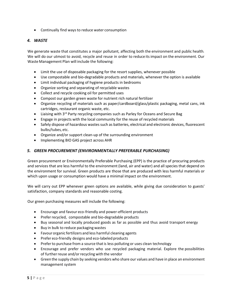• Continually find waysto reduce water consumption

### *4. WASTE*

We generate waste that constitutes a major pollutant, affecting both the environment and public health. We will do our utmost to avoid, recycle and reuse in order to reduce its impact on the environment. Our Waste Management Plan will include the following:

- Limit the use of disposable packaging for the resort supplies, whenever possible
- Use compostable and bio-degradable products and materials, whenever the option is available
- Limit individual packaging of hygiene products in bedrooms
- Organize sorting and separating of recyclable wastes
- Collect and recycle cooking oil for permitted uses
- Compost our garden green waste for nutrient rich natural fertilizer
- Organize recycling of materials such as paper/cardboard/glass/plastic packaging, metal cans, ink cartridges, restaurant organic waste, etc.
- Liaising with 3<sup>rd</sup> Party recycling companies such as Parley for Oceans and Secure Bag
- Engage in projects with the local community for the reuse of recycled materials
- Safely dispose of hazardous wastes such as batteries, electrical and electronic devices, fluorescent bulbs/tubes, etc.
- Organize and/or support clean-up of the surrounding environment
- Implementing BIO GAS project across AHR

#### *5. GREEN PROCUREMENT (ENVIRONMENTALLY PREFERABLE PURCHASING)*

Green procurement or Environmentally Preferable Purchasing (EPP) is the practice of procuring products and services that are less harmful to the environment (land, air and water) and all species that depend on the environment for survival. Green products are those that are produced with less harmful materials or which upon usage or consumption would have a minimal impact on the environment.

We will carry out EPP whenever green options are available, while giving due consideration to guests' satisfaction, company standards and reasonable costing.

Our green purchasing measures will include the following:

- Encourage and favour eco-friendly and power-efficient products
- Prefer recycled, compostable and bio-degradable products
- Buy seasonal and locally produced goods as far as possible and thus avoid transport energy
- Buy in bulk to reduce packaging wastes
- Favourorganic fertilizers and less harmful cleaning agents
- Prefer eco-friendly designs and eco-labeled products
- Prefer to purchase from a source that is less polluting or uses clean technology
- Encourage and prefer vendors who use recycled packaging material. Explore the possibilities of further reuse and/or recycling with the vendor
- Green the supply chain by seeking vendors who share our values and have in place an environment management system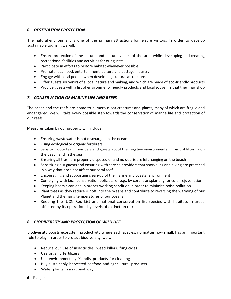# *6. DESTINATION PROTECTION*

The natural environment is one of the primary attractions for leisure visitors. In order to develop sustainable tourism, we will:

- Ensure protection of the natural and cultural values of the area while developing and creating recreational facilities and activities for our guests
- Participate in efforts to restore habitat whenever possible
- Promote local food, entertainment, culture and cottage industry
- Engage with local people when developing cultural attractions
- Offer guests souvenirs of a local nature and making, and which are made of eco-friendly products
- Provide guests with a list of environment-friendly products and local souvenirs that they may shop

# *7. CONSERVATION OF MARINE LIFE AND REEFS*

The ocean and the reefs are home to numerous sea creatures and plants, many of which are fragile and endangered. We will take every possible step towards the conservation of marine life and protection of our reefs.

Measures taken by our property will include:

- Ensuring wastewater is not discharged in the ocean
- Using ecological or organic fertilizers
- Sensitizing our team members and guests about the negative environmental impact of littering on the beach and in the sea
- Ensuring all trash are properly disposed of and no debris are left hanging on the beach
- Sensitizing our guests and ensuring with service providers that snorkeling and diving are practiced in a way that does not affect our coral reef
- Encouraging and supporting clean-up of the marine and coastal environment
- Complying with local conservation policies, for e.g., by coral transplanting for coral rejuvenation
- Keeping boats clean and in proper working condition in order to minimize noise pollution
- Plant trees as they reduce runoff into the oceans and contribute to reversing the warming of our Planet and the rising temperatures of our oceans
- Keeping the IUCN Red List and national conservation list species with habitats in areas affected by its operations by levels of extinction risk.

#### *8. BIODIVERSITY AND PROTECTION OF WILD LIFE*

Biodiversity boosts ecosystem productivity where each species, no matter how small, has an important role to play. In order to protect biodiversity, we will:

- Reduce our use of insecticides, weed killers, fungicides
- Use organic fertilizers
- Use environmentally friendly products for cleaning
- Buy sustainably harvested seafood and agricultural products
- Water plants in a rational way